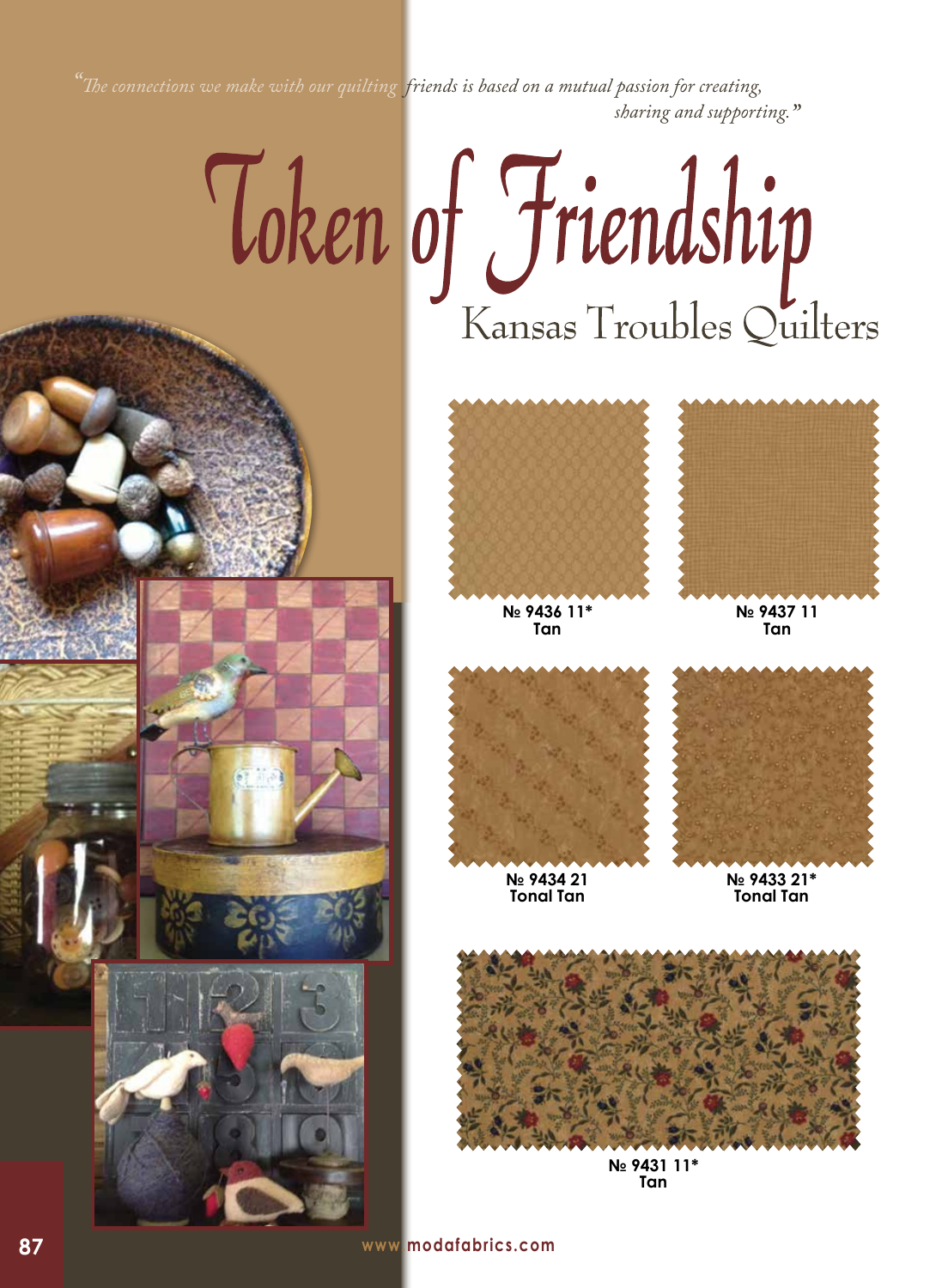*"The connections we make with our quilting friends is based on a mutual passion for creating, sharing and supporting."*

## Token of Friendship



**№ 9436 11\* Tan**



**№ 9437 11 Tan**



**Tonal Tan**



**№ 9433 21\* Tonal Tan**



**№ 9431 11\* Tan**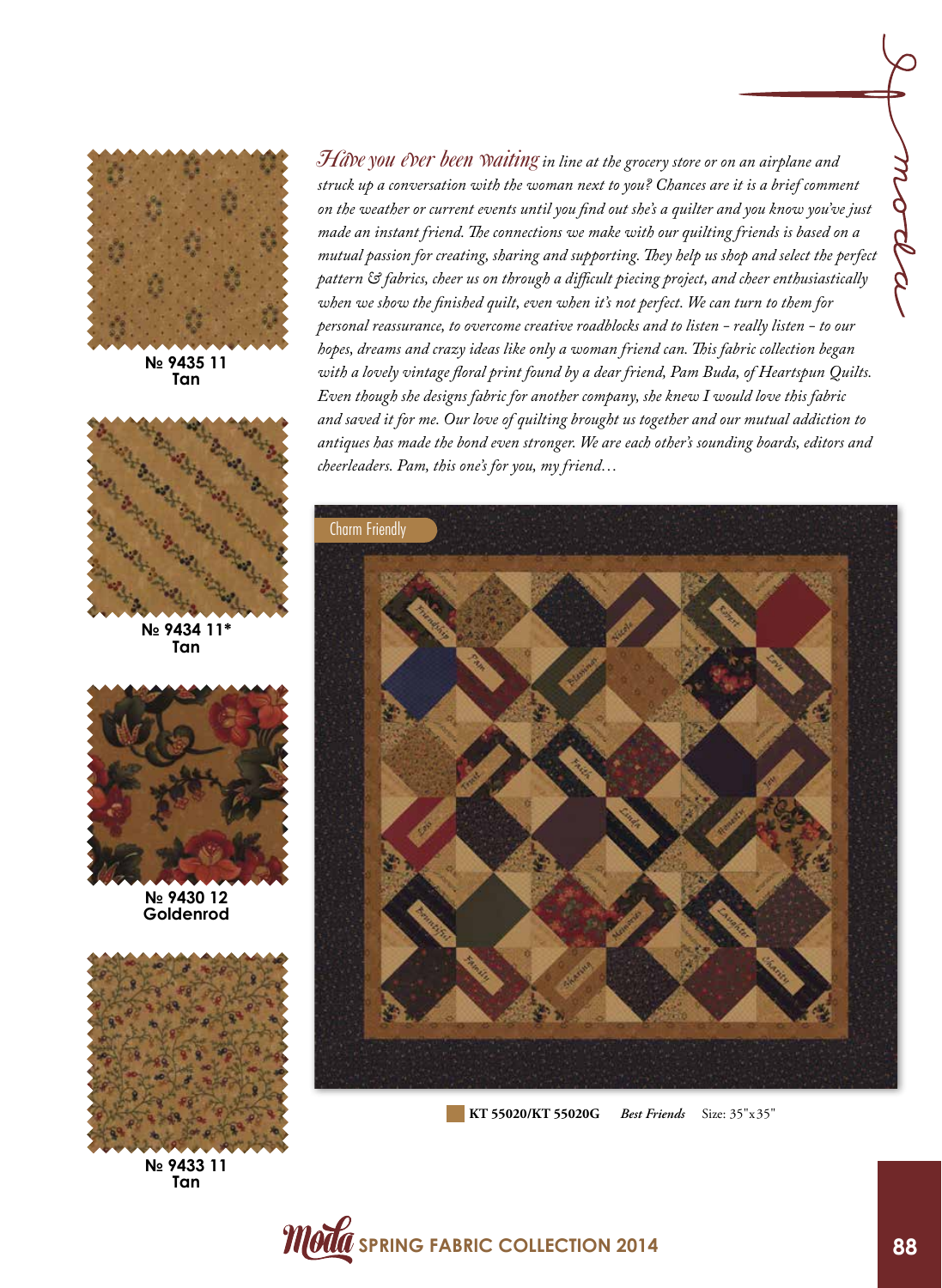

**№ 9435 11 Tan**



**№ 9434 11\* Tan**



**№ 9430 12 Goldenrod**



**№ 9433 11 Tan**

Hâve you ever been waiting in line at the grocery store or on an airplane and *struck up a conversation with the woman next to you? Chances are it is a brief comment on the weather or current events until you find out she's a quilter and you know you've just made an instant friend. The connections we make with our quilting friends is based on a mutual passion for creating, sharing and supporting. They help us shop and select the perfect pattern & fabrics, cheer us on through a difficult piecing project, and cheer enthusiastically when we show the finished quilt, even when it's not perfect. We can turn to them for personal reassurance, to overcome creative roadblocks and to listen - really listen - to our hopes, dreams and crazy ideas like only a woman friend can. This fabric collection began with a lovely vintage floral print found by a dear friend, Pam Buda, of Heartspun Quilts. Even though she designs fabric for another company, she knew I would love this fabric and saved it for me. Our love of quilting brought us together and our mutual addiction to antiques has made the bond even stronger. We are each other's sounding boards, editors and cheerleaders. Pam, this one's for you, my friend…* 



**KT 55020/KT 55020G** *Best Friends* Size: 35"x35"

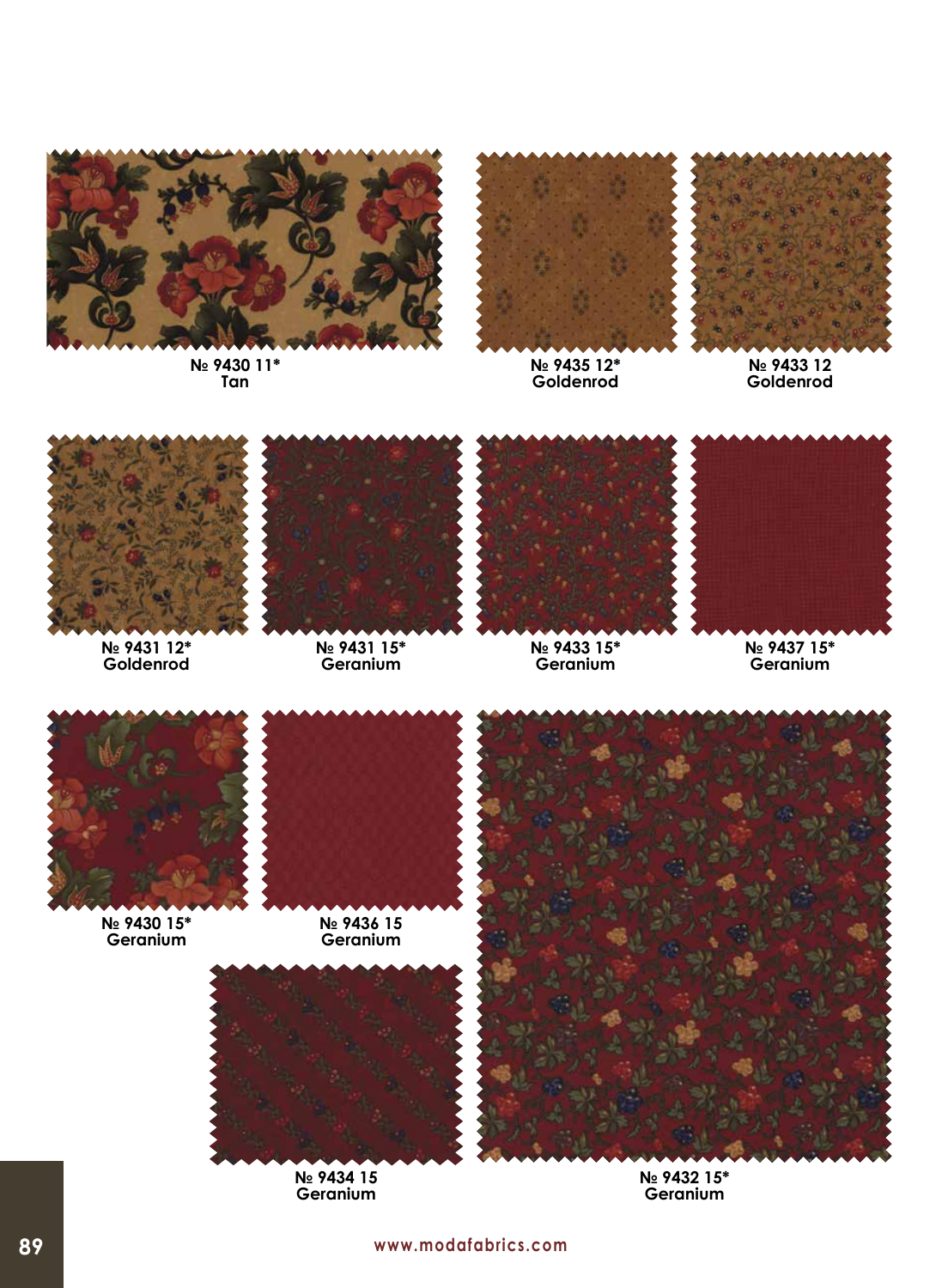

**№ 9430 11\* Tan**



**№ 9435 12\* Goldenrod**



**№ 9433 12 Goldenrod**



**№ 9431 12\* Goldenrod**



**№ 9431 15\* Geranium**



**№ 9433 15\* Geranium**



**№ 9437 15\* Geranium**



**№ 9430 15\* Geranium**



**Geranium**



**№ 9434 15 Geranium**



**№ 9432 15\* Geranium**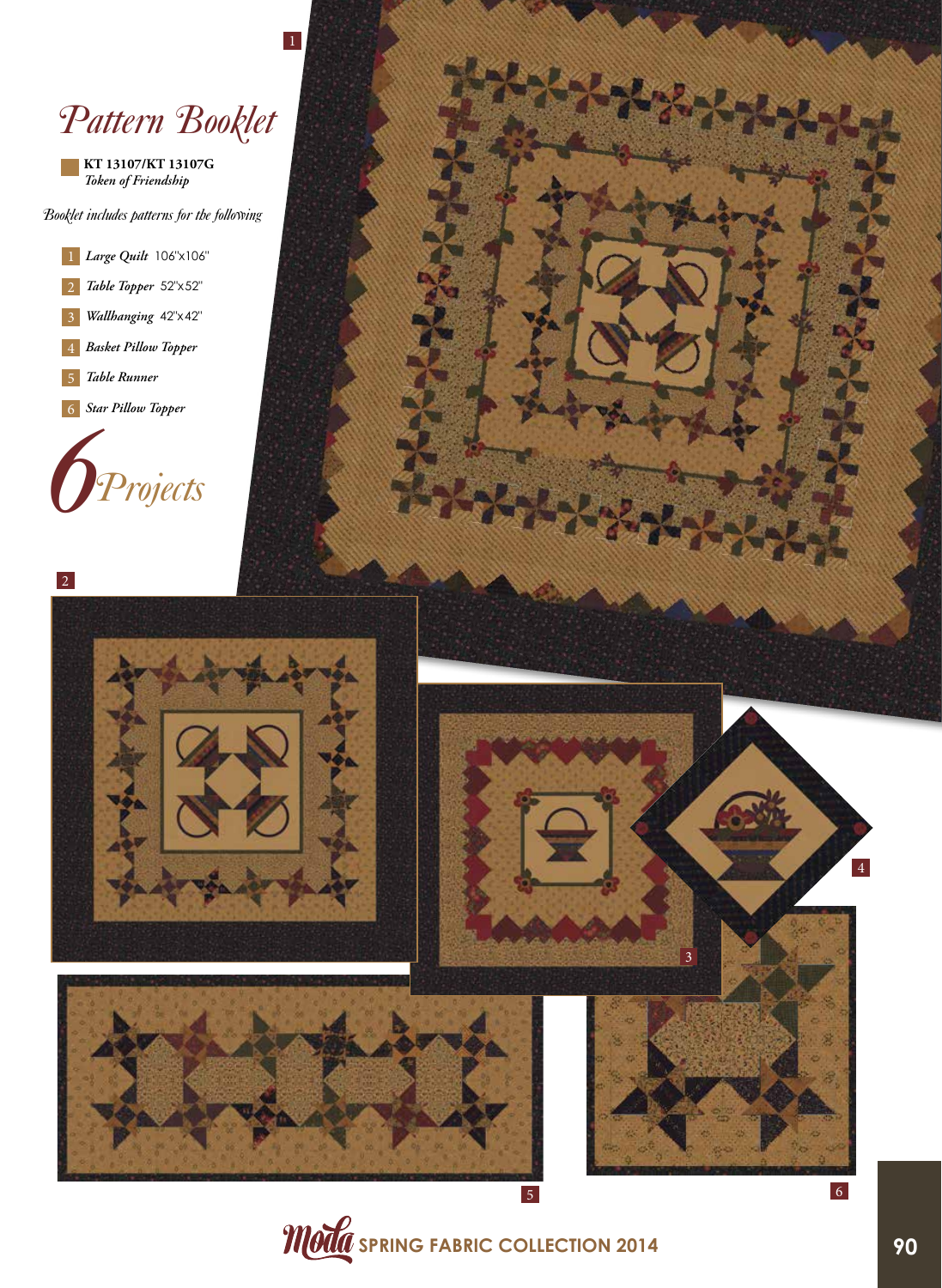## *Pattern Booklet*

**KT 13107/KT 13107G** *Token of Friendship*

*Booklet includes patterns for the following*

 *Large Quilt* 106"x106" *Table Topper* 52"x52" *Wallhanging* 42"x42" *Basket Pillow Topper Table Runner Star Pillow Topper*









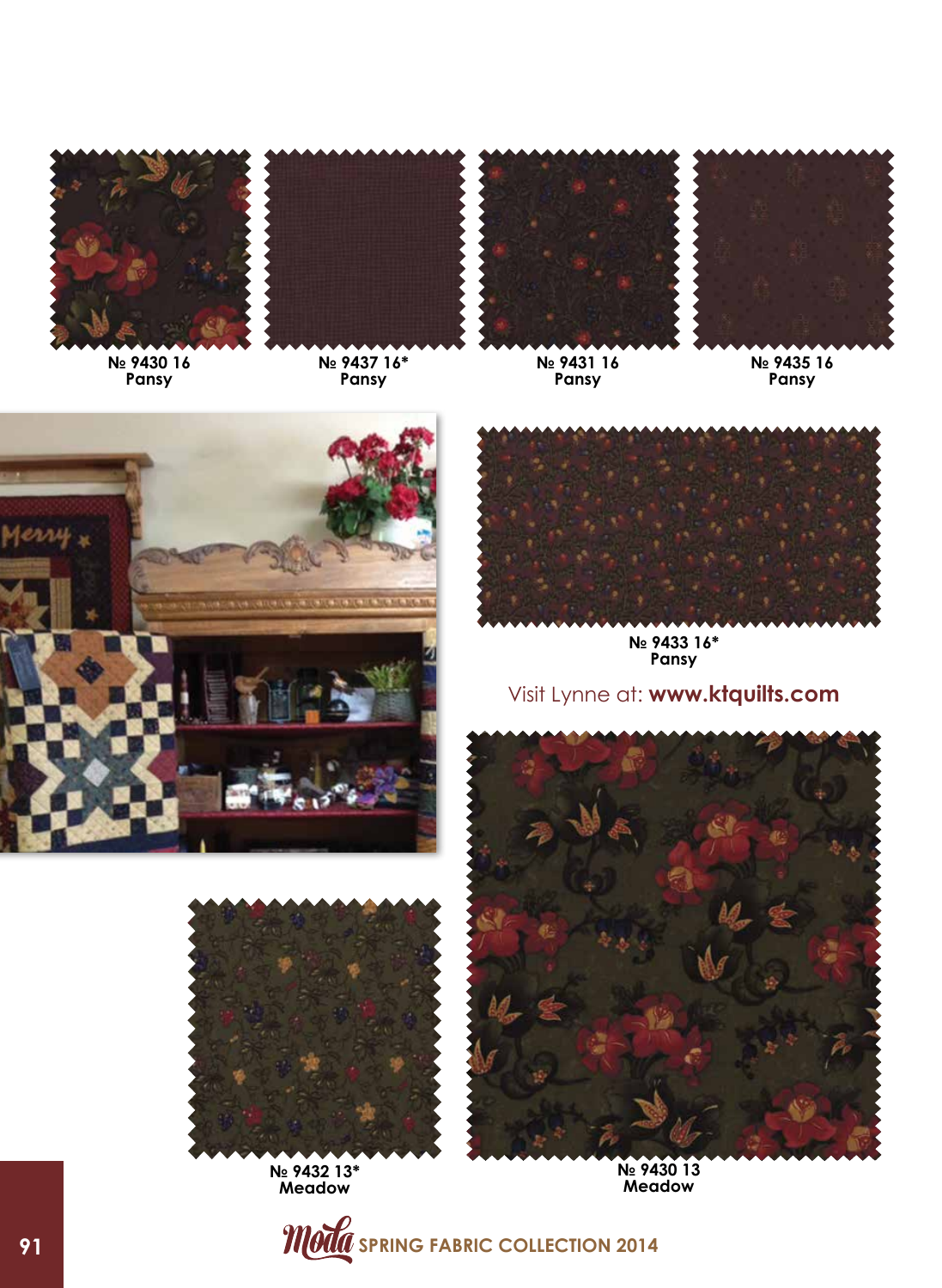

**№ 9430 16 Pansy** 



**№ 9437 16\* Pansy**



**№ 9431 16 Pansy**



**№ 9435 16 Pansy**





**№ 9433 16\* Pansy**

## Visit Lynne at: **www.ktquilts.com**





**№ 9432 13\* Meadow**